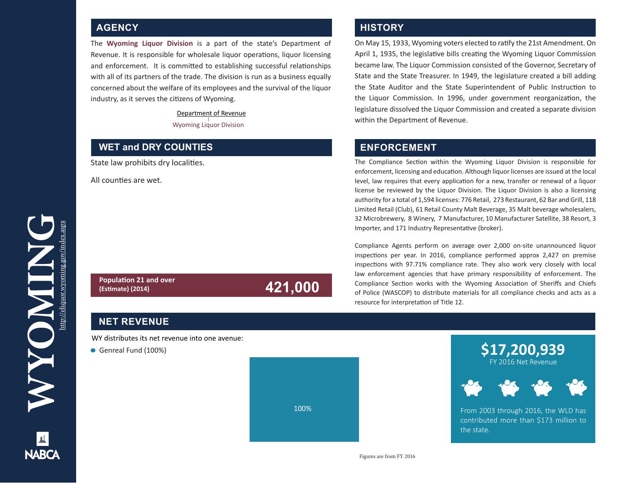The **Wyoming Liquor Division** is a part of the state's Department of Revenue. It is responsible for wholesale liquor operations, liquor licensing and enforcement. It is committed to establishing successful relationships with all of its partners of the trade. The division is run as a business equally concerned about the welfare of its employees and the survival of the liquor industry, as it serves the citizens of Wyoming.

#### Department of Revenue Wyoming Liquor Division

**(Estimate) (2014) 421,000**

#### **WET and DRY COUNTIES**

State law prohibits dry localities.

All counties are wet.

## **AGENCY AGENCY**  *AGENCY*

On May 15, 1933, Wyoming voters elected to ratify the 21st Amendment. On April 1, 1935, the legislative bills creating the Wyoming Liquor Commission became law. The Liquor Commission consisted of the Governor, Secretary of State and the State Treasurer. In 1949, the legislature created a bill adding the State Auditor and the State Superintendent of Public Instruction to the Liquor Commission. In 1996, under government reorganization, the legislature dissolved the Liquor Commission and created a separate division within the Department of Revenue.

### **ENFORCEMENT**

The Compliance Section within the Wyoming Liquor Division is responsible for enforcement, licensing and education. Although liquor licenses are issued at the local level, law requires that every application for a new, transfer or renewal of a liquor license be reviewed by the Liquor Division. The Liquor Division is also a licensing authority for a total of 1,594 licenses: 776 Retail, 273 Restaurant, 62 Bar and Grill, 118 Limited Retail (Club), 61 Retail County Malt Beverage, 35 Malt beverage wholesalers, 32 Microbrewery, 8 Winery, 7 Manufacturer, 10 Manufacturer Satellite, 38 Resort, 3 Importer, and 171 Industry Representative (broker).

Compliance Agents perform on average over 2,000 on-site unannounced liquor inspections per year. In 2016, compliance performed approx 2,427 on premise inspections with 97.71% compliance rate. They also work very closely with local law enforcement agencies that have primary responsibility of enforcement. The Compliance Section works with the Wyoming Association of Sheriffs and Chiefs of Police (WASCOP) to distribute materials for all compliance checks and acts as a resource for interpretation of Title 12.

#### **NET REVENUE**

**Population 21 and over**

WY distributes its net revenue into one avenue:

Genreal Fund (100%)





From 2003 through 2016, the WLD has contributed more than \$173 million to the state.

**NARCA**